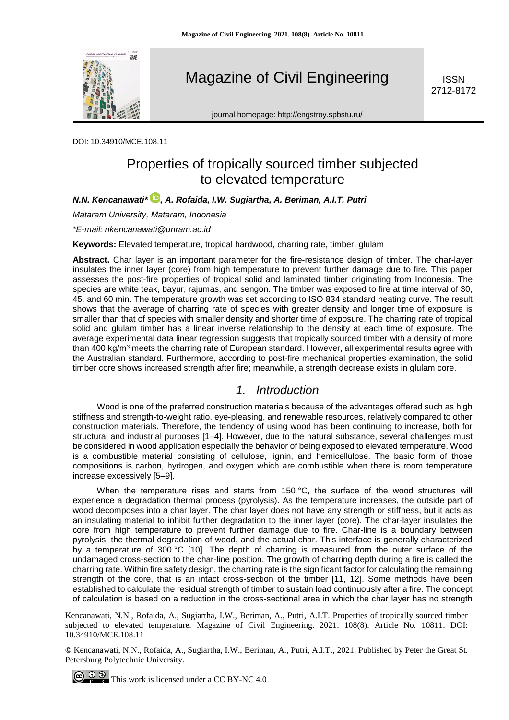

Magazine of Civil Engineering

**ISSN** 2712-8172

journal homepage: http://engstroy.spbstu.ru/

DOI: 10.34910/MCE.108.11

# Properties of tropically sourced timber subjected to elevated temperature

*N.N. Kencanawati\* , A. Rofaida, I.W. Sugiartha, A. Beriman, A.I.T. Putri*

*Mataram University, Mataram, Indonesia*

*\*E-mail: nkencanawati@unram.ac.id*

**Keywords:** Elevated temperature, tropical hardwood, charring rate, timber, glulam

**Abstract.** Char layer is an important parameter for the fire-resistance design of timber. The char-layer insulates the inner layer (core) from high temperature to prevent further damage due to fire. This paper assesses the post-fire properties of tropical solid and laminated timber originating from Indonesia. The species are white teak, bayur, rajumas, and sengon. The timber was exposed to fire at time interval of 30, 45, and 60 min. The temperature growth was set according to ISO 834 standard heating curve. The result shows that the average of charring rate of species with greater density and longer time of exposure is smaller than that of species with smaller density and shorter time of exposure. The charring rate of tropical solid and glulam timber has a linear inverse relationship to the density at each time of exposure. The average experimental data linear regression suggests that tropically sourced timber with a density of more than 400 kg/m<sup>3</sup> meets the charring rate of European standard. However, all experimental results agree with the Australian standard. Furthermore, according to post-fire mechanical properties examination, the solid timber core shows increased strength after fire; meanwhile, a strength decrease exists in glulam core.

## *1. Introduction*

Wood is one of the preferred construction materials because of the advantages offered such as high stiffness and strength-to-weight ratio, eye-pleasing, and renewable resources, relatively compared to other construction materials. Therefore, the tendency of using wood has been continuing to increase, both for structural and industrial purposes [1–4]. However, due to the natural substance, several challenges must be considered in wood application especially the behavior of being exposed to elevated temperature. Wood is a combustible material consisting of cellulose, lignin, and hemicellulose. The basic form of those compositions is carbon, hydrogen, and oxygen which are combustible when there is room temperature increase excessively [5–9].

When the temperature rises and starts from 150 °C, the surface of the wood structures will experience a degradation thermal process (pyrolysis). As the temperature increases, the outside part of wood decomposes into a char layer. The char layer does not have any strength or stiffness, but it acts as an insulating material to inhibit further degradation to the inner layer (core). The char-layer insulates the core from high temperature to prevent further damage due to fire. Char-line is a boundary between pyrolysis, the thermal degradation of wood, and the actual char. This interface is generally characterized by a temperature of 300 °C [10]. The depth of charring is measured from the outer surface of the undamaged cross-section to the char-line position. The growth of charring depth during a fire is called the charring rate. Within fire safety design, the charring rate is the significant factor for calculating the remaining strength of the core, that is an intact cross-section of the timber [11, 12]. Some methods have been established to calculate the residual strength of timber to sustain load continuously after a fire. The concept of calculation is based on a reduction in the cross-sectional area in which the char layer has no strength

Kencanawati, N.N., Rofaida, A., Sugiartha, I.W., Beriman, A., Putri, A.I.T. Properties of tropically sourced timber subjected to elevated temperature. Magazine of Civil Engineering. 2021. 108(8). Article No. 10811. DOI: 10.34910/MCE.108.11

**©** Kencanawati, N.N., Rofaida, A., Sugiartha, I.W., Beriman, A., Putri, A.I.T., 2021. Published by Peter the Great St. Petersburg Polytechnic University.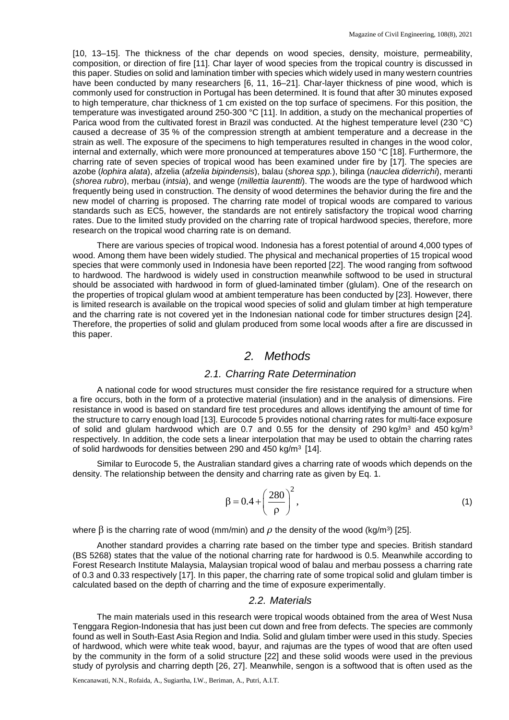[10, 13–15]. The thickness of the char depends on wood species, density, moisture, permeability, composition, or direction of fire [11]. Char layer of wood species from the tropical country is discussed in this paper. Studies on solid and lamination timber with species which widely used in many western countries have been conducted by many researchers [6, 11, 16–21]. Char-layer thickness of pine wood, which is commonly used for construction in Portugal has been determined. It is found that after 30 minutes exposed to high temperature, char thickness of 1 cm existed on the top surface of specimens. For this position, the temperature was investigated around 250-300 °C [11]. In addition, a study on the mechanical properties of Parica wood from the cultivated forest in Brazil was conducted. At the highest temperature level (230 °C) caused a decrease of 35 % of the compression strength at ambient temperature and a decrease in the strain as well. The exposure of the specimens to high temperatures resulted in changes in the wood color, internal and externally, which were more pronounced at temperatures above 150 °C [18]. Furthermore, the charring rate of seven species of tropical wood has been examined under fire by [17]. The species are azobe (*lophira alata*), afzelia (*afzelia bipindensis*), balau (*shorea spp.*), bilinga (*nauclea diderrichi*), meranti (*shorea rubro*), merbau (*intsia*), and wenge (*millettia laurentti*). The woods are the type of hardwood which frequently being used in construction. The density of wood determines the behavior during the fire and the new model of charring is proposed. The charring rate model of tropical woods are compared to various standards such as EC5, however, the standards are not entirely satisfactory the tropical wood charring rates. Due to the limited study provided on the charring rate of tropical hardwood species, therefore, more research on the tropical wood charring rate is on demand.

There are various species of tropical wood. Indonesia has a forest potential of around 4,000 types of wood. Among them have been widely studied. The physical and mechanical properties of 15 tropical wood species that were commonly used in Indonesia have been reported [22]. The wood ranging from softwood to hardwood. The hardwood is widely used in construction meanwhile softwood to be used in structural should be associated with hardwood in form of glued-laminated timber (glulam). One of the research on the properties of tropical glulam wood at ambient temperature has been conducted by [23]. However, there is limited research is available on the tropical wood species of solid and glulam timber at high temperature and the charring rate is not covered yet in the Indonesian national code for timber structures design [24]. Therefore, the properties of solid and glulam produced from some local woods after a fire are discussed in this paper.

## *2. Methods*

### *2.1. Charring Rate Determination*

A national code for wood structures must consider the fire resistance required for a structure when a fire occurs, both in the form of a protective material (insulation) and in the analysis of dimensions. Fire resistance in wood is based on standard fire test procedures and allows identifying the amount of time for the structure to carry enough load [13]. Eurocode 5 provides notional charring rates for multi-face exposure of solid and glulam hardwood which are 0.7 and 0.55 for the density of 290 kg/m<sup>3</sup> and 450 kg/m<sup>3</sup> respectively. In addition, the code sets a linear interpolation that may be used to obtain the charring rates of solid hardwoods for densities between 290 and 450 kg/m<sup>3</sup> [14].

Similar to Eurocode 5, the Australian standard gives a charring rate of woods which depends on the density. The relationship between the density and charring rate as given by Eq. 1.

$$
\beta = 0.4 + \left(\frac{280}{\rho}\right)^2,\tag{1}
$$

where β is the charring rate of wood (mm/min) and  $ρ$  the density of the wood (kg/m<sup>3</sup>) [25].

Another standard provides a charring rate based on the timber type and species. British standard (BS 5268) states that the value of the notional charring rate for hardwood is 0.5. Meanwhile according to Forest Research Institute Malaysia, Malaysian tropical wood of balau and merbau possess a charring rate of 0.3 and 0.33 respectively [17]. In this paper, the charring rate of some tropical solid and glulam timber is calculated based on the depth of charring and the time of exposure experimentally.

#### *2.2. Materials*

The main materials used in this research were tropical woods obtained from the area of West Nusa Tenggara Region-Indonesia that has just been cut down and free from defects. The species are commonly found as well in South-East Asia Region and India. Solid and glulam timber were used in this study. Species of hardwood, which were white teak wood, bayur, and rajumas are the types of wood that are often used by the community in the form of a solid structure [22] and these solid woods were used in the previous study of pyrolysis and charring depth [26, 27]. Meanwhile, sengon is a softwood that is often used as the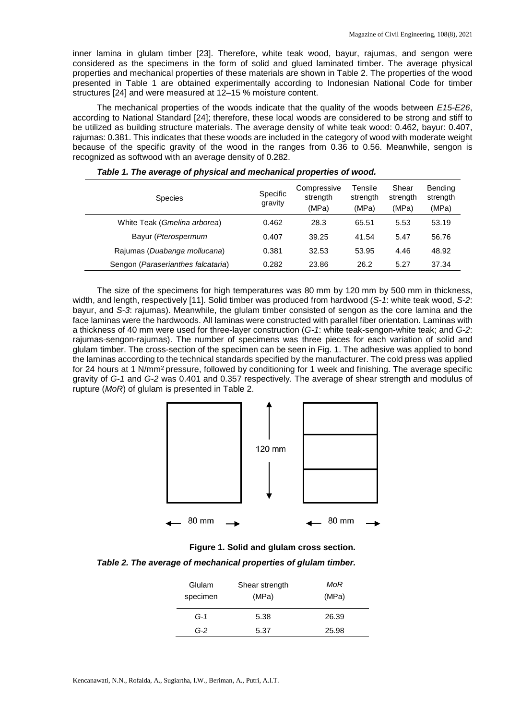inner lamina in glulam timber [23]. Therefore, white teak wood, bayur, rajumas, and sengon were considered as the specimens in the form of solid and glued laminated timber. The average physical properties and mechanical properties of these materials are shown in Table 2. The properties of the wood presented in Table 1 are obtained experimentally according to Indonesian National Code for timber structures [24] and were measured at 12–15 % moisture content.

The mechanical properties of the woods indicate that the quality of the woods between *E15-E26*, according to National Standard [24]; therefore, these local woods are considered to be strong and stiff to be utilized as building structure materials. The average density of white teak wood: 0.462, bayur: 0.407, rajumas: 0.381. This indicates that these woods are included in the category of wood with moderate weight because of the specific gravity of the wood in the ranges from 0.36 to 0.56. Meanwhile, sengon is recognized as softwood with an average density of 0.282.

| <b>Species</b>                     | Specific<br>gravity | Compressive<br>strength<br>(MPa) | Tensile<br>strength<br>(MPa) | Shear<br>strength<br>(MPa) | Bending<br>strength<br>(MPa) |
|------------------------------------|---------------------|----------------------------------|------------------------------|----------------------------|------------------------------|
| White Teak (Gmelina arborea)       | 0.462               | 28.3                             | 65.51                        | 5.53                       | 53.19                        |
| Bayur (Pterospermum                | 0.407               | 39.25                            | 41.54                        | 5.47                       | 56.76                        |
| Rajumas (Duabanga mollucana)       | 0.381               | 32.53                            | 53.95                        | 4.46                       | 48.92                        |
| Sengon (Paraserianthes falcataria) | 0.282               | 23.86                            | 26.2                         | 5.27                       | 37.34                        |

|  | Table 1. The average of physical and mechanical properties of wood. |  |  |  |  |
|--|---------------------------------------------------------------------|--|--|--|--|
|--|---------------------------------------------------------------------|--|--|--|--|

The size of the specimens for high temperatures was 80 mm by 120 mm by 500 mm in thickness, width, and length, respectively [11]. Solid timber was produced from hardwood (*S-1*: white teak wood, *S-2*: bayur, and *S-3*: rajumas). Meanwhile, the glulam timber consisted of sengon as the core lamina and the face laminas were the hardwoods. All laminas were constructed with parallel fiber orientation. Laminas with a thickness of 40 mm were used for three-layer construction (*G-1*: white teak-sengon-white teak; and *G-2*: rajumas-sengon-rajumas). The number of specimens was three pieces for each variation of solid and glulam timber. The cross-section of the specimen can be seen in Fig. 1. The adhesive was applied to bond the laminas according to the technical standards specified by the manufacturer. The cold press was applied for 24 hours at 1 N/mm<sup>2</sup> pressure, followed by conditioning for 1 week and finishing. The average specific gravity of *G-1* and *G-2* was 0.401 and 0.357 respectively. The average of shear strength and modulus of rupture (*MoR*) of glulam is presented in Table 2.



**Figure 1. Solid and glulam cross section.**

*Table 2. The average of mechanical properties of glulam timber.*

| Glulam<br>specimen | Shear strength<br>(MPa) | MoR<br>(MPa) |
|--------------------|-------------------------|--------------|
| $G-1$              | 5.38                    | 26.39        |
| G-2                | 5.37                    | 25.98        |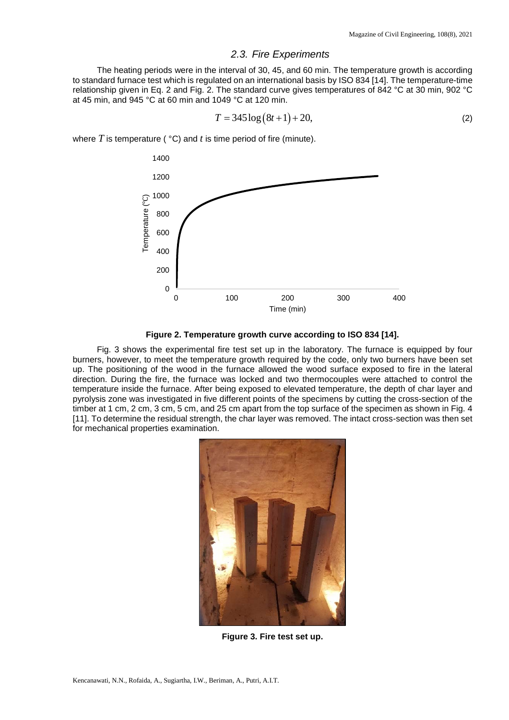### *2.3. Fire Experiments*

The heating periods were in the interval of 30, 45, and 60 min. The temperature growth is according to standard furnace test which is regulated on an international basis by ISO 834 [14]. The temperature-time relationship given in Eq. 2 and Fig. 2. The standard curve gives temperatures of 842 °C at 30 min, 902 °C at 45 min, and 945 °C at 60 min and 1049 °C at 120 min.

$$
T = 345 \log (8t + 1) + 20,\tag{2}
$$

where *T* is temperature ( °C) and *t* is time period of fire (minute).



**Figure 2. Temperature growth curve according to ISO 834 [14].**

Fig. 3 shows the experimental fire test set up in the laboratory. The furnace is equipped by four burners, however, to meet the temperature growth required by the code, only two burners have been set up. The positioning of the wood in the furnace allowed the wood surface exposed to fire in the lateral direction. During the fire, the furnace was locked and two thermocouples were attached to control the temperature inside the furnace. After being exposed to elevated temperature, the depth of char layer and pyrolysis zone was investigated in five different points of the specimens by cutting the cross-section of the timber at 1 cm, 2 cm, 3 cm, 5 cm, and 25 cm apart from the top surface of the specimen as shown in Fig. 4 [11]. To determine the residual strength, the char layer was removed. The intact cross-section was then set for mechanical properties examination.



**Figure 3. Fire test set up.**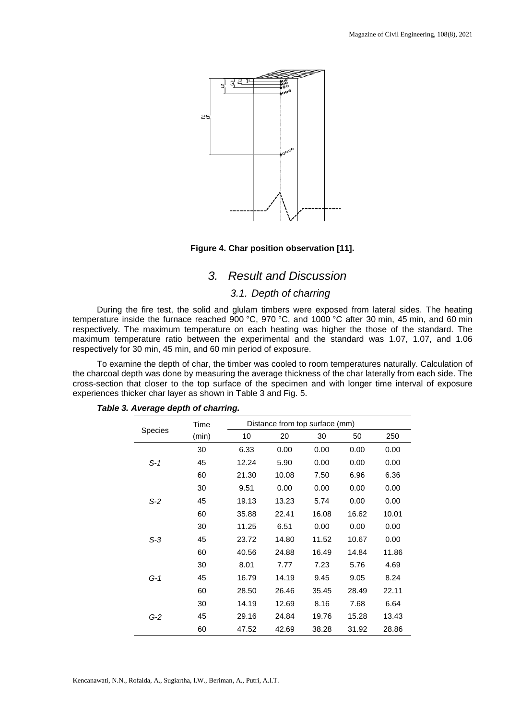

### **Figure 4. Char position observation [11].**

## *3. Result and Discussion*

#### *3.1. Depth of charring*

During the fire test, the solid and glulam timbers were exposed from lateral sides. The heating temperature inside the furnace reached 900 °C, 970 °C, and 1000 °C after 30 min, 45 min, and 60 min respectively. The maximum temperature on each heating was higher the those of the standard. The maximum temperature ratio between the experimental and the standard was 1.07, 1.07, and 1.06 respectively for 30 min, 45 min, and 60 min period of exposure.

To examine the depth of char, the timber was cooled to room temperatures naturally. Calculation of the charcoal depth was done by measuring the average thickness of the char laterally from each side. The cross-section that closer to the top surface of the specimen and with longer time interval of exposure experiences thicker char layer as shown in Table 3 and Fig. 5.

|                | Time  | Distance from top surface (mm) |       |       |       |       |
|----------------|-------|--------------------------------|-------|-------|-------|-------|
| <b>Species</b> | (min) | 10                             | 20    | 30    | 50    | 250   |
|                | 30    | 6.33                           | 0.00  | 0.00  | 0.00  | 0.00  |
| $S-1$          | 45    | 12.24                          | 5.90  | 0.00  | 0.00  | 0.00  |
|                | 60    | 21.30                          | 10.08 | 7.50  | 6.96  | 6.36  |
|                | 30    | 9.51                           | 0.00  | 0.00  | 0.00  | 0.00  |
| $S-2$          | 45    | 19.13                          | 13.23 | 5.74  | 0.00  | 0.00  |
|                | 60    | 35.88                          | 22.41 | 16.08 | 16.62 | 10.01 |
|                | 30    | 11.25                          | 6.51  | 0.00  | 0.00  | 0.00  |
| $S-3$          | 45    | 23.72                          | 14.80 | 11.52 | 10.67 | 0.00  |
|                | 60    | 40.56                          | 24.88 | 16.49 | 14.84 | 11.86 |
|                | 30    | 8.01                           | 7.77  | 7.23  | 5.76  | 4.69  |
| G-1            | 45    | 16.79                          | 14.19 | 9.45  | 9.05  | 8.24  |
|                | 60    | 28.50                          | 26.46 | 35.45 | 28.49 | 22.11 |
| $G-2$          | 30    | 14.19                          | 12.69 | 8.16  | 7.68  | 6.64  |
|                | 45    | 29.16                          | 24.84 | 19.76 | 15.28 | 13.43 |
|                | 60    | 47.52                          | 42.69 | 38.28 | 31.92 | 28.86 |

### *Table 3. Average depth of charring.*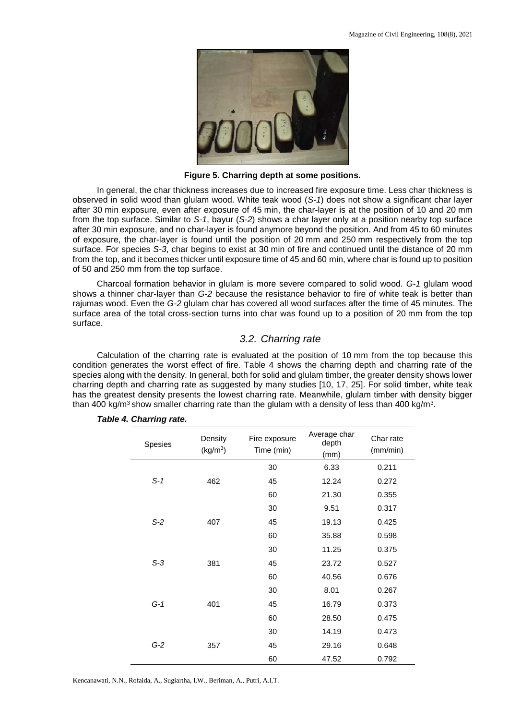

**Figure 5. Charring depth at some positions.**

In general, the char thickness increases due to increased fire exposure time. Less char thickness is observed in solid wood than glulam wood. White teak wood (*S-1*) does not show a significant char layer after 30 min exposure, even after exposure of 45 min, the char-layer is at the position of 10 and 20 mm from the top surface. Similar to *S-1*, bayur (*S-2*) shows a char layer only at a position nearby top surface after 30 min exposure, and no char-layer is found anymore beyond the position. And from 45 to 60 minutes of exposure, the char-layer is found until the position of 20 mm and 250 mm respectively from the top surface. For species *S-3*, char begins to exist at 30 min of fire and continued until the distance of 20 mm from the top, and it becomes thicker until exposure time of 45 and 60 min, where char is found up to position of 50 and 250 mm from the top surface.

Charcoal formation behavior in glulam is more severe compared to solid wood. *G-1* glulam wood shows a thinner char-layer than *G-2* because the resistance behavior to fire of white teak is better than rajumas wood. Even the *G-2* glulam char has covered all wood surfaces after the time of 45 minutes. The surface area of the total cross-section turns into char was found up to a position of 20 mm from the top surface.

#### *3.2. Charring rate*

Calculation of the charring rate is evaluated at the position of 10 mm from the top because this condition generates the worst effect of fire. Table 4 shows the charring depth and charring rate of the species along with the density. In general, both for solid and glulam timber, the greater density shows lower charring depth and charring rate as suggested by many studies [10, 17, 25]. For solid timber, white teak has the greatest density presents the lowest charring rate. Meanwhile, glulam timber with density bigger than 400 kg/m<sup>3</sup> show smaller charring rate than the glulam with a density of less than 400 kg/m<sup>3</sup>.

| Spesies      | Density<br>(kg/m <sup>3</sup> ) | Fire exposure<br>Time (min) | Average char<br>depth<br>(mm) | Char rate<br>(mm/min) |
|--------------|---------------------------------|-----------------------------|-------------------------------|-----------------------|
|              |                                 | 30                          | 6.33                          | 0.211                 |
| $S-1$        | 462                             | 45                          | 12.24                         | 0.272                 |
|              |                                 | 60                          | 21.30                         | 0.355                 |
|              |                                 | 30                          | 9.51                          | 0.317                 |
| $S-2$<br>407 |                                 | 45                          | 19.13                         | 0.425                 |
|              | 60                              | 35.88                       | 0.598                         |                       |
|              |                                 | 30                          | 11.25                         | 0.375                 |
| $S-3$<br>381 |                                 | 45                          | 23.72                         | 0.527                 |
|              |                                 | 60                          | 40.56                         | 0.676                 |
| $G-1$<br>401 | 30                              | 8.01                        | 0.267                         |                       |
|              |                                 | 45                          | 16.79                         | 0.373                 |
|              | 60                              | 28.50                       | 0.475                         |                       |
|              |                                 | 30                          | 14.19                         | 0.473                 |
| $G-2$        | 357                             | 45                          | 29.16                         | 0.648                 |
|              |                                 | 60                          | 47.52                         | 0.792                 |

#### *Table 4. Charring rate.*

Kencanawati, N.N., Rofaida, A., Sugiartha, I.W., Beriman, A., Putri, A.I.T.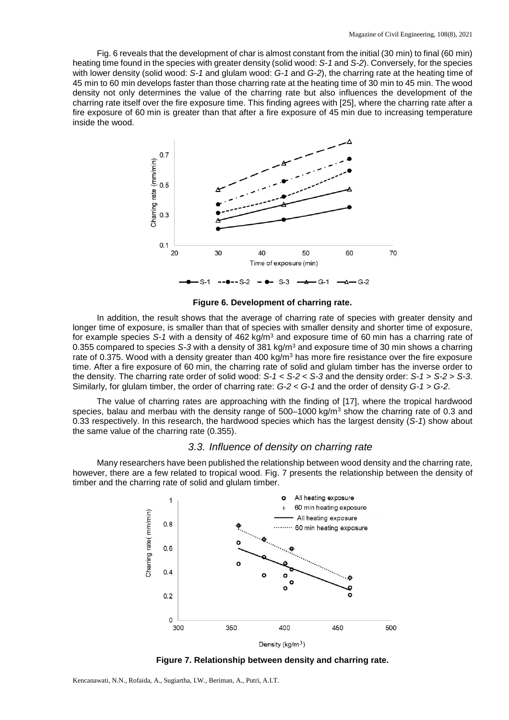Fig. 6 reveals that the development of char is almost constant from the initial (30 min) to final (60 min) heating time found in the species with greater density (solid wood: *S-1* and *S-2*). Conversely, for the species with lower density (solid wood: *S-1* and glulam wood: *G-1* and *G-2*), the charring rate at the heating time of 45 min to 60 min develops faster than those charring rate at the heating time of 30 min to 45 min. The wood density not only determines the value of the charring rate but also influences the development of the charring rate itself over the fire exposure time. This finding agrees with [25], where the charring rate after a fire exposure of 60 min is greater than that after a fire exposure of 45 min due to increasing temperature inside the wood.



**Figure 6. Development of charring rate.**

In addition, the result shows that the average of charring rate of species with greater density and longer time of exposure, is smaller than that of species with smaller density and shorter time of exposure, for example species *S-1* with a density of 462 kg/m3 and exposure time of 60 min has a charring rate of 0.355 compared to species *S-3* with a density of 381 kg/m3 and exposure time of 30 min shows a charring rate of 0.375. Wood with a density greater than 400 kg/m<sup>3</sup> has more fire resistance over the fire exposure time. After a fire exposure of 60 min, the charring rate of solid and glulam timber has the inverse order to the density. The charring rate order of solid wood: *S-1* < *S-2* < *S-3* and the density order: *S-1* > *S-2* > *S-3*. Similarly, for glulam timber, the order of charring rate: *G-2* < *G-1* and the order of density *G-1* > *G-2*.

The value of charring rates are approaching with the finding of [17], where the tropical hardwood species, balau and merbau with the density range of  $500-1000 \text{ kg/m}^3$  show the charring rate of 0.3 and 0.33 respectively. In this research, the hardwood species which has the largest density (*S-1*) show about the same value of the charring rate (0.355).

## *3.3. Influence of density on charring rate*

Many researchers have been published the relationship between wood density and the charring rate, however, there are a few related to tropical wood. Fig. 7 presents the relationship between the density of timber and the charring rate of solid and glulam timber.



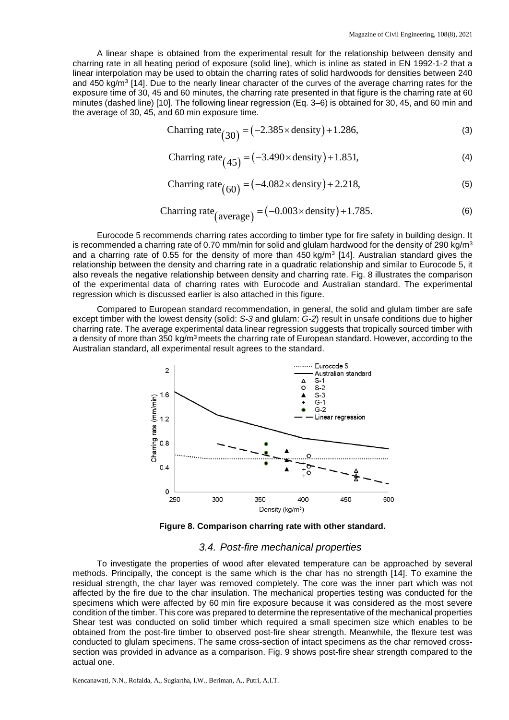A linear shape is obtained from the experimental result for the relationship between density and charring rate in all heating period of exposure (solid line), which is inline as stated in EN 1992-1-2 that a linear interpolation may be used to obtain the charring rates of solid hardwoods for densities between 240 and 450 kg/m<sup>3</sup> [14]. Due to the nearly linear character of the curves of the average charring rates for the exposure time of 30, 45 and 60 minutes, the charring rate presented in that figure is the charring rate at 60 minutes (dashed line) [10]. The following linear regression (Eq. 3–6) is obtained for 30, 45, and 60 min and the average of 30, 45, and 60 min exposure time.

$$
Charring rate (30) = (-2.385 \times density) + 1.286,
$$
\n(3)

$$
Charring rate (45) = (-3.490 \times density) + 1.851,
$$
\n(4)

$$
Charring rate(60) = (-4.082 \times density) + 2.218,
$$
\n(5)

$$
Charring rate_{(average)} = (-0.003 \times density) + 1.785.
$$
\n(6)

Eurocode 5 recommends charring rates according to timber type for fire safety in building design. It is recommended a charring rate of 0.70 mm/min for solid and glulam hardwood for the density of 290 kg/m<sup>3</sup> and a charring rate of 0.55 for the density of more than  $450 \text{ kg/m}^3$  [14]. Australian standard gives the relationship between the density and charring rate in a quadratic relationship and similar to Eurocode 5, it also reveals the negative relationship between density and charring rate. Fig. 8 illustrates the comparison of the experimental data of charring rates with Eurocode and Australian standard. The experimental regression which is discussed earlier is also attached in this figure.

Compared to European standard recommendation, in general, the solid and glulam timber are safe except timber with the lowest density (solid: *S-3* and glulam: *G-2*) result in unsafe conditions due to higher charring rate. The average experimental data linear regression suggests that tropically sourced timber with a density of more than 350 kg/m<sup>3</sup> meets the charring rate of European standard. However, according to the Australian standard, all experimental result agrees to the standard.



**Figure 8. Comparison charring rate with other standard.**

#### *3.4. Post-fire mechanical properties*

To investigate the properties of wood after elevated temperature can be approached by several methods. Principally, the concept is the same which is the char has no strength [14]. To examine the residual strength, the char layer was removed completely. The core was the inner part which was not affected by the fire due to the char insulation. The mechanical properties testing was conducted for the specimens which were affected by 60 min fire exposure because it was considered as the most severe condition of the timber. This core was prepared to determine the representative of the mechanical properties Shear test was conducted on solid timber which required a small specimen size which enables to be obtained from the post-fire timber to observed post-fire shear strength. Meanwhile, the flexure test was conducted to glulam specimens. The same cross-section of intact specimens as the char removed crosssection was provided in advance as a comparison. Fig. 9 shows post-fire shear strength compared to the actual one.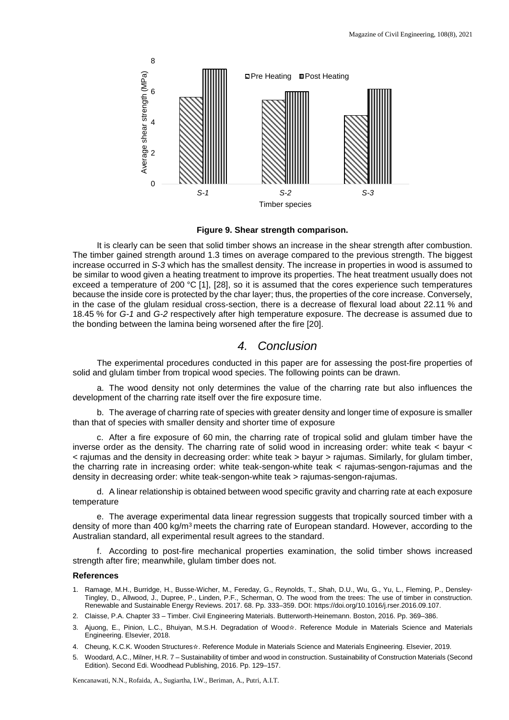

**Figure 9. Shear strength comparison.**

It is clearly can be seen that solid timber shows an increase in the shear strength after combustion. The timber gained strength around 1.3 times on average compared to the previous strength. The biggest increase occurred in *S-3* which has the smallest density. The increase in properties in wood is assumed to be similar to wood given a heating treatment to improve its properties. The heat treatment usually does not exceed a temperature of 200 °C [1], [28], so it is assumed that the cores experience such temperatures because the inside core is protected by the char layer; thus, the properties of the core increase. Conversely, in the case of the glulam residual cross-section, there is a decrease of flexural load about 22.11 % and 18.45 % for *G-1* and *G-2* respectively after high temperature exposure. The decrease is assumed due to the bonding between the lamina being worsened after the fire [20].

## *4. Conclusion*

The experimental procedures conducted in this paper are for assessing the post-fire properties of solid and glulam timber from tropical wood species. The following points can be drawn.

a. The wood density not only determines the value of the charring rate but also influences the development of the charring rate itself over the fire exposure time.

b. The average of charring rate of species with greater density and longer time of exposure is smaller than that of species with smaller density and shorter time of exposure

c. After a fire exposure of 60 min, the charring rate of tropical solid and glulam timber have the inverse order as the density. The charring rate of solid wood in increasing order: white teak < bayur < < rajumas and the density in decreasing order: white teak > bayur > rajumas. Similarly, for glulam timber, the charring rate in increasing order: white teak-sengon-white teak < rajumas-sengon-rajumas and the density in decreasing order: white teak-sengon-white teak > rajumas-sengon-rajumas.

d. A linear relationship is obtained between wood specific gravity and charring rate at each exposure temperature

e. The average experimental data linear regression suggests that tropically sourced timber with a density of more than 400 kg/m<sup>3</sup> meets the charring rate of European standard. However, according to the Australian standard, all experimental result agrees to the standard.

f. According to post-fire mechanical properties examination, the solid timber shows increased strength after fire; meanwhile, glulam timber does not.

#### **References**

- 1. Ramage, M.H., Burridge, H., Busse-Wicher, M., Fereday, G., Reynolds, T., Shah, D.U., Wu, G., Yu, L., Fleming, P., Densley-Tingley, D., Allwood, J., Dupree, P., Linden, P.F., Scherman, O. The wood from the trees: The use of timber in construction. Renewable and Sustainable Energy Reviews. 2017. 68. Pp. 333–359. DOI: https://doi.org/10.1016/j.rser.2016.09.107.
- 2. Claisse, P.A. Chapter 33 Timber. Civil Engineering Materials. Butterworth-Heinemann. Boston, 2016. Pp. 369–386.
- 3. Ajuong, E., Pinion, L.C., Bhuiyan, M.S.H. Degradation of Wood☆. Reference Module in Materials Science and Materials Engineering. Elsevier, 2018.
- 4. Cheung, K.C.K. Wooden Structures☆. Reference Module in Materials Science and Materials Engineering. Elsevier, 2019.
- 5. Woodard, A.C., Milner, H.R. 7 Sustainability of timber and wood in construction. Sustainability of Construction Materials (Second Edition). Second Edi. Woodhead Publishing, 2016. Pp. 129–157.

Kencanawati, N.N., Rofaida, A., Sugiartha, I.W., Beriman, A., Putri, A.I.T.